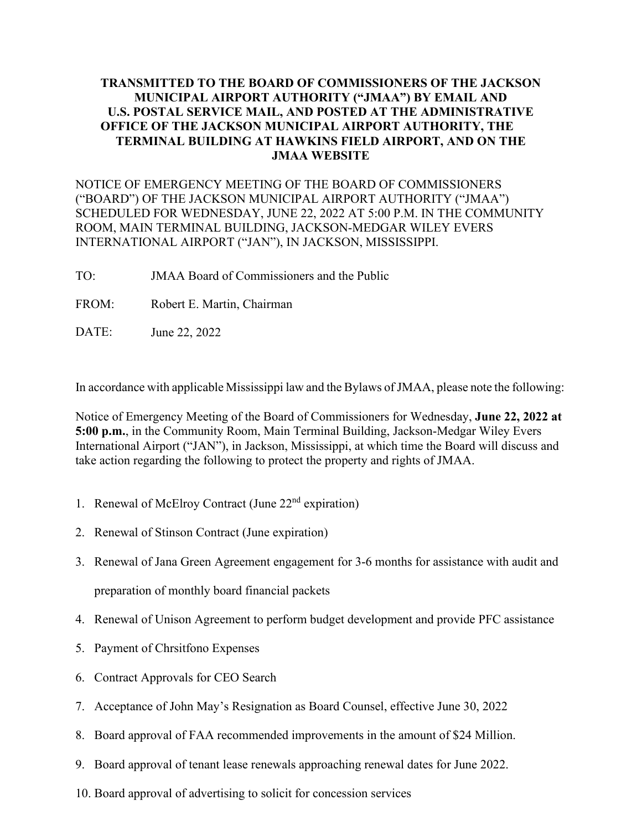## **TRANSMITTED TO THE BOARD OF COMMISSIONERS OF THE JACKSON MUNICIPAL AIRPORT AUTHORITY ("JMAA") BY EMAIL AND U.S. POSTAL SERVICE MAIL, AND POSTED AT THE ADMINISTRATIVE OFFICE OF THE JACKSON MUNICIPAL AIRPORT AUTHORITY, THE TERMINAL BUILDING AT HAWKINS FIELD AIRPORT, AND ON THE JMAA WEBSITE**

NOTICE OF EMERGENCY MEETING OF THE BOARD OF COMMISSIONERS ("BOARD") OF THE JACKSON MUNICIPAL AIRPORT AUTHORITY ("JMAA") SCHEDULED FOR WEDNESDAY, JUNE 22, 2022 AT 5:00 P.M. IN THE COMMUNITY ROOM, MAIN TERMINAL BUILDING, JACKSON-MEDGAR WILEY EVERS INTERNATIONAL AIRPORT ("JAN"), IN JACKSON, MISSISSIPPI.

- TO: JMAA Board of Commissioners and the Public
- FROM: Robert E. Martin, Chairman
- DATE: June 22, 2022

In accordance with applicable Mississippi law and the Bylaws ofJMAA, please note the following:

Notice of Emergency Meeting of the Board of Commissioners for Wednesday, **June 22, 2022 at 5:00 p.m.**, in the Community Room, Main Terminal Building, Jackson-Medgar Wiley Evers International Airport ("JAN"), in Jackson, Mississippi, at which time the Board will discuss and take action regarding the following to protect the property and rights of JMAA.

- 1. Renewal of McElroy Contract (June  $22<sup>nd</sup>$  expiration)
- 2. Renewal of Stinson Contract (June expiration)
- 3. Renewal of Jana Green Agreement engagement for 3-6 months for assistance with audit and preparation of monthly board financial packets
- 4. Renewal of Unison Agreement to perform budget development and provide PFC assistance
- 5. Payment of Chrsitfono Expenses
- 6. Contract Approvals for CEO Search
- 7. Acceptance of John May's Resignation as Board Counsel, effective June 30, 2022
- 8. Board approval of FAA recommended improvements in the amount of \$24 Million.
- 9. Board approval of tenant lease renewals approaching renewal dates for June 2022.
- 10. Board approval of advertising to solicit for concession services